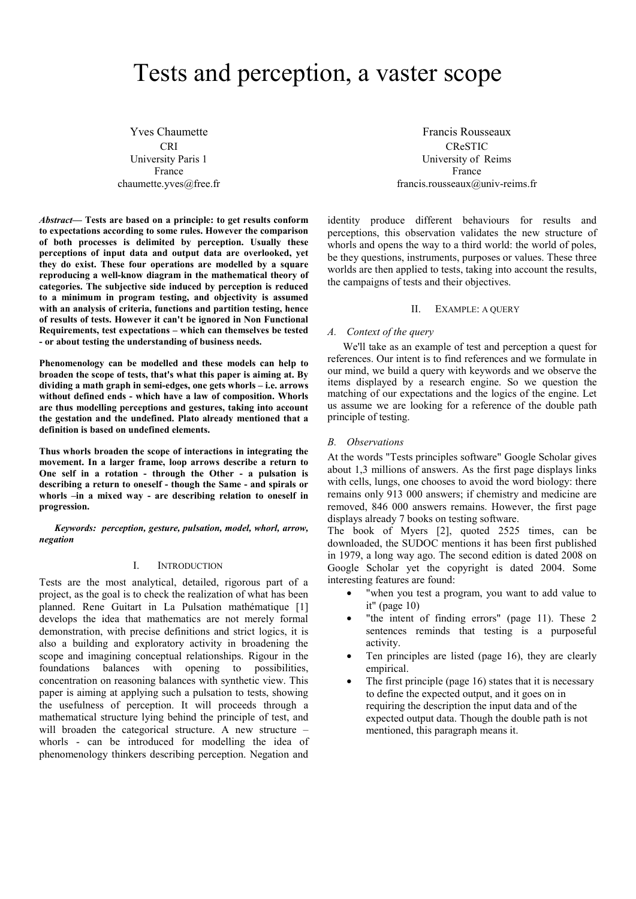# Tests and perception, a vaster scope

Yves Chaumette CRI University Paris 1 France chaumette.yves@free.fr

*Abstract***— Tests are based on a principle: to get results conform to expectations according to some rules. However the comparison of both processes is delimited by perception. Usually these perceptions of input data and output data are overlooked, yet they do exist. These four operations are modelled by a square reproducing a well-know diagram in the mathematical theory of categories. The subjective side induced by perception is reduced to a minimum in program testing, and objectivity is assumed with an analysis of criteria, functions and partition testing, hence of results of tests. However it can't be ignored in Non Functional Requirements, test expectations – which can themselves be tested - or about testing the understanding of business needs.** 

**Phenomenology can be modelled and these models can help to broaden the scope of tests, that's what this paper is aiming at. By dividing a math graph in semi-edges, one gets whorls – i.e. arrows without defined ends - which have a law of composition. Whorls are thus modelling perceptions and gestures, taking into account the gestation and the undefined. Plato already mentioned that a definition is based on undefined elements.** 

**Thus whorls broaden the scope of interactions in integrating the movement. In a larger frame, loop arrows describe a return to One self in a rotation - through the Other - a pulsation is describing a return to oneself - though the Same - and spirals or whorls –in a mixed way - are describing relation to oneself in progression.** 

*Keywords: perception, gesture, pulsation, model, whorl, arrow, negation* 

## I. INTRODUCTION

Tests are the most analytical, detailed, rigorous part of a project, as the goal is to check the realization of what has been planned. Rene Guitart in La Pulsation mathématique [1] develops the idea that mathematics are not merely formal demonstration, with precise definitions and strict logics, it is also a building and exploratory activity in broadening the scope and imagining conceptual relationships. Rigour in the foundations balances with opening to possibilities, concentration on reasoning balances with synthetic view. This paper is aiming at applying such a pulsation to tests, showing the usefulness of perception. It will proceeds through a mathematical structure lying behind the principle of test, and will broaden the categorical structure. A new structure – whorls - can be introduced for modelling the idea of phenomenology thinkers describing perception. Negation and

Francis Rousseaux CReSTIC University of Reims France francis.rousseaux@univ-reims.fr

identity produce different behaviours for results and perceptions, this observation validates the new structure of whorls and opens the way to a third world: the world of poles, be they questions, instruments, purposes or values. These three worlds are then applied to tests, taking into account the results, the campaigns of tests and their objectives.

#### II. EXAMPLE: A QUERY

#### *A. Context of the query*

We'll take as an example of test and perception a quest for references. Our intent is to find references and we formulate in our mind, we build a query with keywords and we observe the items displayed by a research engine. So we question the matching of our expectations and the logics of the engine. Let us assume we are looking for a reference of the double path principle of testing.

## *B. Observations*

At the words "Tests principles software" Google Scholar gives about 1,3 millions of answers. As the first page displays links with cells, lungs, one chooses to avoid the word biology: there remains only 913 000 answers; if chemistry and medicine are removed, 846 000 answers remains. However, the first page displays already 7 books on testing software.

The book of Myers [2], quoted 2525 times, can be downloaded, the SUDOC mentions it has been first published in 1979, a long way ago. The second edition is dated 2008 on Google Scholar yet the copyright is dated 2004. Some interesting features are found:

- "when you test a program, you want to add value to it" (page 10)
- "the intent of finding errors" (page 11). These 2 sentences reminds that testing is a purposeful activity.
- Ten principles are listed (page 16), they are clearly empirical.
- The first principle (page 16) states that it is necessary to define the expected output, and it goes on in requiring the description the input data and of the expected output data. Though the double path is not mentioned, this paragraph means it.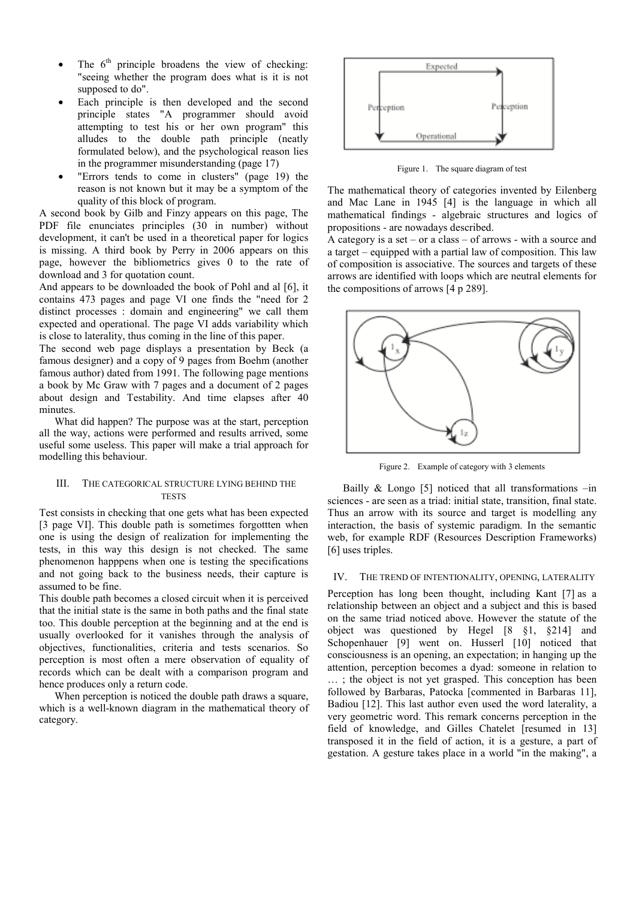- The  $6<sup>th</sup>$  principle broadens the view of checking: "seeing whether the program does what is it is not supposed to do".
- Each principle is then developed and the second principle states "A programmer should avoid attempting to test his or her own program" this alludes to the double path principle (neatly formulated below), and the psychological reason lies in the programmer misunderstanding (page 17)
- "Errors tends to come in clusters" (page 19) the reason is not known but it may be a symptom of the quality of this block of program.

A second book by Gilb and Finzy appears on this page, The PDF file enunciates principles (30 in number) without development, it can't be used in a theoretical paper for logics is missing. A third book by Perry in 2006 appears on this page, however the bibliometrics gives 0 to the rate of download and 3 for quotation count.

And appears to be downloaded the book of Pohl and al [6], it contains 473 pages and page VI one finds the "need for 2 distinct processes : domain and engineering" we call them expected and operational. The page VI adds variability which is close to laterality, thus coming in the line of this paper.

The second web page displays a presentation by Beck (a famous designer) and a copy of 9 pages from Boehm (another famous author) dated from 1991. The following page mentions a book by Mc Graw with 7 pages and a document of 2 pages about design and Testability. And time elapses after 40 minutes.

What did happen? The purpose was at the start, perception all the way, actions were performed and results arrived, some useful some useless. This paper will make a trial approach for modelling this behaviour.

## III. THE CATEGORICAL STRUCTURE LYING BEHIND THE **TESTS**

Test consists in checking that one gets what has been expected [3 page VI]. This double path is sometimes forgottten when one is using the design of realization for implementing the tests, in this way this design is not checked. The same phenomenon happpens when one is testing the specifications and not going back to the business needs, their capture is assumed to be fine.

This double path becomes a closed circuit when it is perceived that the initial state is the same in both paths and the final state too. This double perception at the beginning and at the end is usually overlooked for it vanishes through the analysis of objectives, functionalities, criteria and tests scenarios. So perception is most often a mere observation of equality of records which can be dealt with a comparison program and hence produces only a return code.

When perception is noticed the double path draws a square, which is a well-known diagram in the mathematical theory of category.



Figure 1. The square diagram of test

The mathematical theory of categories invented by Eilenberg and Mac Lane in 1945 [4] is the language in which all mathematical findings - algebraic structures and logics of propositions - are nowadays described.

A category is a set – or a class – of arrows - with a source and a target – equipped with a partial law of composition. This law of composition is associative. The sources and targets of these arrows are identified with loops which are neutral elements for the compositions of arrows [4 p 289].



Figure 2. Example of category with 3 elements

Bailly  $& Longo [5] noticed that all transformations -in$ sciences - are seen as a triad: initial state, transition, final state. Thus an arrow with its source and target is modelling any interaction, the basis of systemic paradigm. In the semantic web, for example RDF (Resources Description Frameworks) [6] uses triples.

# IV. THE TREND OF INTENTIONALITY, OPENING, LATERALITY

Perception has long been thought, including Kant [7] as a relationship between an object and a subject and this is based on the same triad noticed above. However the statute of the object was questioned by Hegel [8 §1, §214] and Schopenhauer [9] went on. Husserl [10] noticed that consciousness is an opening, an expectation; in hanging up the attention, perception becomes a dyad: someone in relation to … ; the object is not yet grasped. This conception has been followed by Barbaras, Patocka [commented in Barbaras 11], Badiou [12]. This last author even used the word laterality, a very geometric word. This remark concerns perception in the field of knowledge, and Gilles Chatelet [resumed in 13] transposed it in the field of action, it is a gesture, a part of gestation. A gesture takes place in a world "in the making", a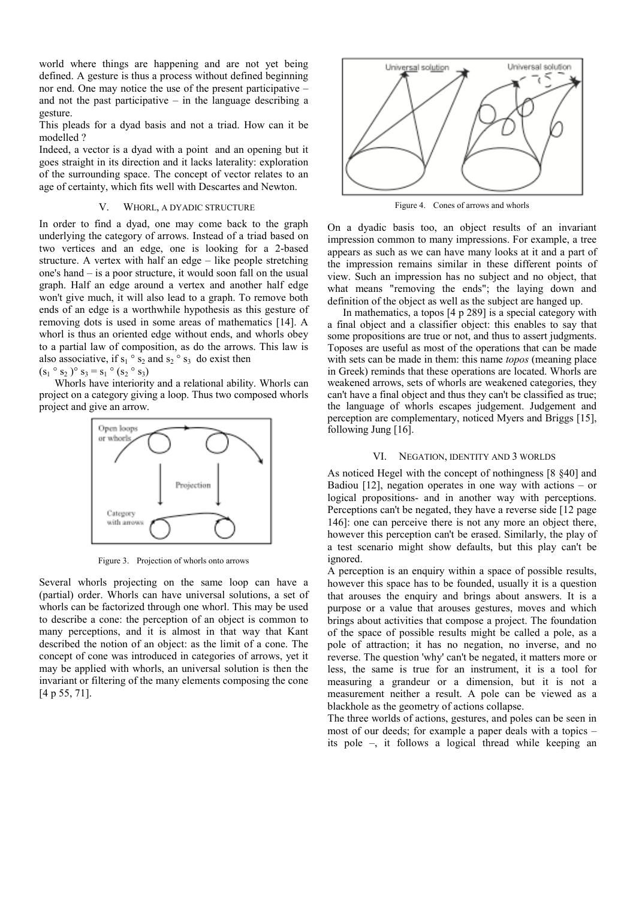world where things are happening and are not yet being defined. A gesture is thus a process without defined beginning nor end. One may notice the use of the present participative – and not the past participative – in the language describing a gesture.

This pleads for a dyad basis and not a triad. How can it be modelled ?

Indeed, a vector is a dyad with a point and an opening but it goes straight in its direction and it lacks laterality: exploration of the surrounding space. The concept of vector relates to an age of certainty, which fits well with Descartes and Newton.

## V. WHORL, A DYADIC STRUCTURE

In order to find a dyad, one may come back to the graph underlying the category of arrows. Instead of a triad based on two vertices and an edge, one is looking for a 2-based structure. A vertex with half an edge – like people stretching one's hand – is a poor structure, it would soon fall on the usual graph. Half an edge around a vertex and another half edge won't give much, it will also lead to a graph. To remove both ends of an edge is a worthwhile hypothesis as this gesture of removing dots is used in some areas of mathematics [14]. A whorl is thus an oriented edge without ends, and whorls obey to a partial law of composition, as do the arrows. This law is also associative, if  $s_1 \circ s_2$  and  $s_2 \circ s_3$  do exist then  $(s_1 \circ s_2) \circ s_3 = s_1 \circ (s_2 \circ s_3)$ 

Whorls have interiority and a relational ability. Whorls can project on a category giving a loop. Thus two composed whorls project and give an arrow.



Figure 3. Projection of whorls onto arrows

Several whorls projecting on the same loop can have a (partial) order. Whorls can have universal solutions, a set of whorls can be factorized through one whorl. This may be used to describe a cone: the perception of an object is common to many perceptions, and it is almost in that way that Kant described the notion of an object: as the limit of a cone. The concept of cone was introduced in categories of arrows, yet it may be applied with whorls, an universal solution is then the invariant or filtering of the many elements composing the cone [4 p 55, 71].



Figure 4. Cones of arrows and whorls

On a dyadic basis too, an object results of an invariant impression common to many impressions. For example, a tree appears as such as we can have many looks at it and a part of the impression remains similar in these different points of view. Such an impression has no subject and no object, that what means "removing the ends"; the laying down and definition of the object as well as the subject are hanged up.

In mathematics, a topos [4 p 289] is a special category with a final object and a classifier object: this enables to say that some propositions are true or not, and thus to assert judgments. Toposes are useful as most of the operations that can be made with sets can be made in them: this name *topos* (meaning place in Greek) reminds that these operations are located. Whorls are weakened arrows, sets of whorls are weakened categories, they can't have a final object and thus they can't be classified as true; the language of whorls escapes judgement. Judgement and perception are complementary, noticed Myers and Briggs [15], following Jung [16].

#### VI. NEGATION, IDENTITY AND 3 WORLDS

As noticed Hegel with the concept of nothingness [8 §40] and Badiou  $[12]$ , negation operates in one way with actions – or logical propositions- and in another way with perceptions. Perceptions can't be negated, they have a reverse side [12 page 146]: one can perceive there is not any more an object there, however this perception can't be erased. Similarly, the play of a test scenario might show defaults, but this play can't be ignored.

A perception is an enquiry within a space of possible results, however this space has to be founded, usually it is a question that arouses the enquiry and brings about answers. It is a purpose or a value that arouses gestures, moves and which brings about activities that compose a project. The foundation of the space of possible results might be called a pole, as a pole of attraction; it has no negation, no inverse, and no reverse. The question 'why' can't be negated, it matters more or less, the same is true for an instrument, it is a tool for measuring a grandeur or a dimension, but it is not a measurement neither a result. A pole can be viewed as a blackhole as the geometry of actions collapse.

The three worlds of actions, gestures, and poles can be seen in most of our deeds; for example a paper deals with a topics – its pole –, it follows a logical thread while keeping an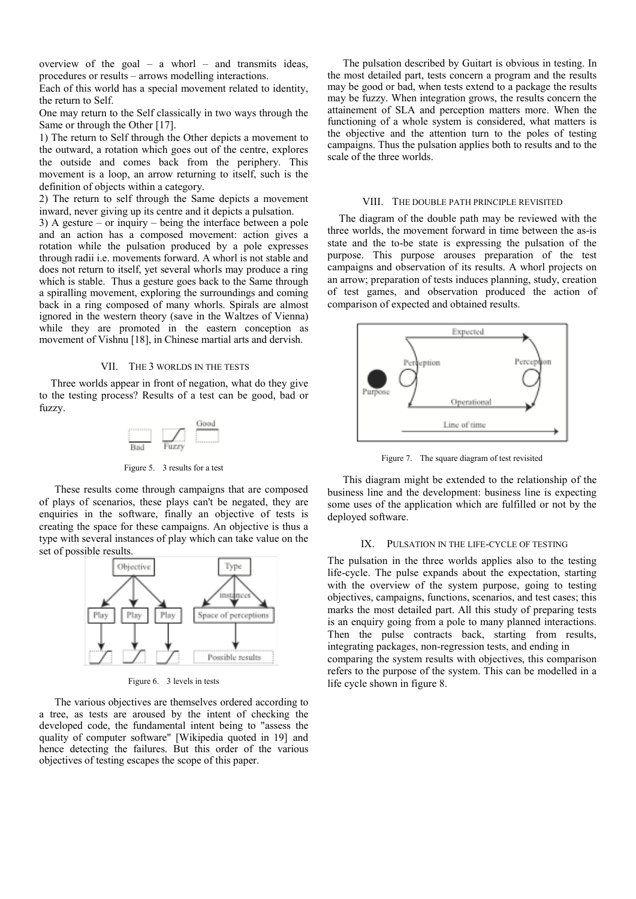overview of the goal – a whorl – and transmits ideas, procedures or results – arrows modelling interactions.

Each of this world has a special movement related to identity, the return to Self.

One may return to the Self classically in two ways through the Same or through the Other [17].

1) The return to Self through the Other depicts a movement to the outward, a rotation which goes out of the centre, explores the outside and comes back from the periphery. This movement is a loop, an arrow returning to itself, such is the definition of objects within a category.

2) The return to self through the Same depicts a movement inward, never giving up its centre and it depicts a pulsation.

3) A gesture – or inquiry – being the interface between a pole and an action has a composed movement: action gives a rotation while the pulsation produced by a pole expresses through radii i.e. movements forward. A whorl is not stable and does not return to itself, yet several whorls may produce a ring which is stable. Thus a gesture goes back to the Same through a spiralling movement, exploring the surroundings and coming back in a ring composed of many whorls. Spirals are almost ignored in the western theory (save in the Waltzes of Vienna) while they are promoted in the eastern conception as movement of Vishnu [18], in Chinese martial arts and dervish.

## VII. THE 3 WORLDS IN THE TESTS

Three worlds appear in front of negation, what do they give to the testing process? Results of a test can be good, bad or fuzzy.



Figure 5. 3 results for a test

These results come through campaigns that are composed of plays of scenarios, these plays can't be negated, they are enquiries in the software, finally an objective of tests is creating the space for these campaigns. An objective is thus a type with several instances of play which can take value on the set of possible results.



Figure 6. 3 levels in tests

The various objectives are themselves ordered according to a tree, as tests are aroused by the intent of checking the developed code, the fundamental intent being to "assess the quality of computer software" [Wikipedia quoted in 19] and hence detecting the failures. But this order of the various objectives of testing escapes the scope of this paper.

The pulsation described by Guitart is obvious in testing. In the most detailed part, tests concern a program and the results may be good or bad, when tests extend to a package the results may be fuzzy. When integration grows, the results concern the attainement of SLA and perception matters more. When the functioning of a whole system is considered, what matters is the objective and the attention turn to the poles of testing campaigns. Thus the pulsation applies both to results and to the scale of the three worlds.

#### VIII. THE DOUBLE PATH PRINCIPLE REVISITED

The diagram of the double path may be reviewed with the three worlds, the movement forward in time between the as-is state and the to-be state is expressing the pulsation of the purpose. This purpose arouses preparation of the test campaigns and observation of its results. A whorl projects on an arrow; preparation of tests induces planning, study, creation of test games, and observation produced the action of comparison of expected and obtained results.



Figure 7. The square diagram of test revisited

This diagram might be extended to the relationship of the business line and the development: business line is expecting some uses of the application which are fulfilled or not by the deployed software.

## IX. PULSATION IN THE LIFE-CYCLE OF TESTING

The pulsation in the three worlds applies also to the testing life-cycle. The pulse expands about the expectation, starting with the overview of the system purpose, going to testing objectives, campaigns, functions, scenarios, and test cases; this marks the most detailed part. All this study of preparing tests is an enquiry going from a pole to many planned interactions. Then the pulse contracts back, starting from results, integrating packages, non-regression tests, and ending in comparing the system results with objectives, this comparison refers to the purpose of the system. This can be modelled in a life cycle shown in figure 8.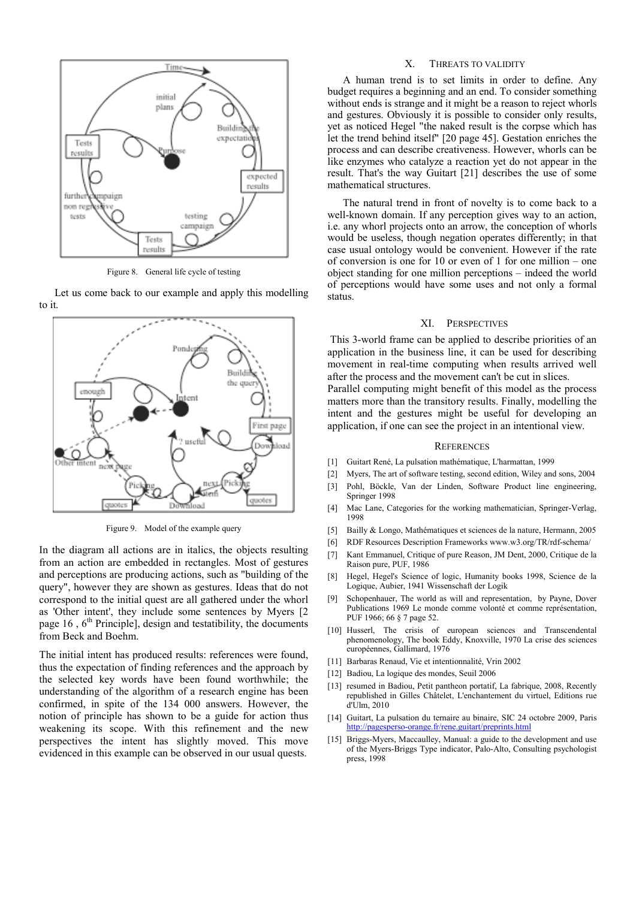

Figure 8. General life cycle of testing

Let us come back to our example and apply this modelling to it.



Figure 9. Model of the example query

In the diagram all actions are in italics, the objects resulting from an action are embedded in rectangles. Most of gestures and perceptions are producing actions, such as "building of the query", however they are shown as gestures. Ideas that do not correspond to the initial quest are all gathered under the whorl as 'Other intent', they include some sentences by Myers [2 page  $16$ ,  $6<sup>th</sup>$  Principle], design and testatibility, the documents from Beck and Boehm.

The initial intent has produced results: references were found, thus the expectation of finding references and the approach by the selected key words have been found worthwhile; the understanding of the algorithm of a research engine has been confirmed, in spite of the 134 000 answers. However, the notion of principle has shown to be a guide for action thus weakening its scope. With this refinement and the new perspectives the intent has slightly moved. This move evidenced in this example can be observed in our usual quests.

## X. THREATS TO VALIDITY

A human trend is to set limits in order to define. Any budget requires a beginning and an end. To consider something without ends is strange and it might be a reason to reject whorls and gestures. Obviously it is possible to consider only results, yet as noticed Hegel "the naked result is the corpse which has let the trend behind itself" [20 page 45]. Gestation enriches the process and can describe creativeness. However, whorls can be like enzymes who catalyze a reaction yet do not appear in the result. That's the way Guitart [21] describes the use of some mathematical structures.

The natural trend in front of novelty is to come back to a well-known domain. If any perception gives way to an action, i.e. any whorl projects onto an arrow, the conception of whorls would be useless, though negation operates differently; in that case usual ontology would be convenient. However if the rate of conversion is one for 10 or even of 1 for one million – one object standing for one million perceptions – indeed the world of perceptions would have some uses and not only a formal status.

#### XI. PERSPECTIVES

 This 3-world frame can be applied to describe priorities of an application in the business line, it can be used for describing movement in real-time computing when results arrived well after the process and the movement can't be cut in slices.

Parallel computing might benefit of this model as the process matters more than the transitory results. Finally, modelling the intent and the gestures might be useful for developing an application, if one can see the project in an intentional view.

#### **REFERENCES**

- [1] Guitart René, La pulsation mathématique, L'harmattan, 1999
- [2] Myers, The art of software testing, second edition, Wiley and sons, 2004
- [3] Pohl, Böckle, Van der Linden, Software Product line engineering, Springer 1998
- [4] Mac Lane, Categories for the working mathematician, Springer-Verlag, 1998
- [5] Bailly & Longo, Mathématiques et sciences de la nature, Hermann, 2005
- [6] RDF Resources Description Frameworks www.w3.org/TR/rdf-schema/
- [7] Kant Emmanuel, Critique of pure Reason, JM Dent, 2000, Critique de la Raison pure, PUF, 1986
- [8] Hegel, Hegel's Science of logic, Humanity books 1998, Science de la Logique, Aubier, 1941 Wissenschaft der Logik
- [9] Schopenhauer, The world as will and representation, by Payne, Dover Publications 1969 Le monde comme volonté et comme représentation, PUF 1966; 66 § 7 page 52.
- [10] Husserl, The crisis of european sciences and Transcendental phenomenology, The book Eddy, Knoxville, 1970 La crise des sciences européennes, Gallimard, 1976
- [11] Barbaras Renaud, Vie et intentionnalité, Vrin 2002
- [12] Badiou, La logique des mondes, Seuil 2006
- [13] resumed in Badiou, Petit pantheon portatif, La fabrique, 2008, Recently republished in Gilles Châtelet, L'enchantement du virtuel, Editions rue d'Ulm, 2010
- [14] Guitart, La pulsation du ternaire au binaire, SIC 24 octobre 2009, Paris http://pagesperso-orange.fr/rene.guitart/preprints.html
- [15] Briggs-Myers, Maccaulley, Manual: a guide to the development and use of the Myers-Briggs Type indicator, Palo-Alto, Consulting psychologist press, 1998